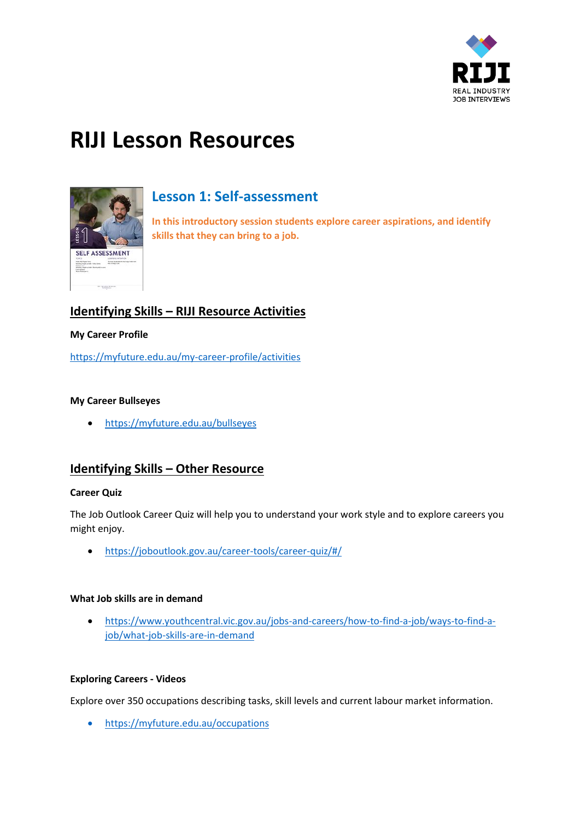

# **RIJI Lesson Resources**



# **Lesson 1: Self-assessment**

**In this introductory session students explore career aspirations, and identify skills that they can bring to a job.**

# **Identifying Skills – RIJI Resource Activities**

# **My Career Profile**

<https://myfuture.edu.au/my-career-profile/activities>

# **My Career Bullseyes**

<https://myfuture.edu.au/bullseyes>

# **Identifying Skills – Other Resource**

### **Career Quiz**

The Job Outlook Career Quiz will help you to understand your work style and to explore careers you might enjoy.

<https://joboutlook.gov.au/career-tools/career-quiz/#/>

### **What Job skills are in demand**

 [https://www.youthcentral.vic.gov.au/jobs-and-careers/how-to-find-a-job/ways-to-find-a](https://www.youthcentral.vic.gov.au/jobs-and-careers/how-to-find-a-job/ways-to-find-a-job/what-job-skills-are-in-demand)[job/what-job-skills-are-in-demand](https://www.youthcentral.vic.gov.au/jobs-and-careers/how-to-find-a-job/ways-to-find-a-job/what-job-skills-are-in-demand)

### **Exploring Careers - Videos**

Explore over 350 occupations describing tasks, skill levels and current labour market information.

<https://myfuture.edu.au/occupations>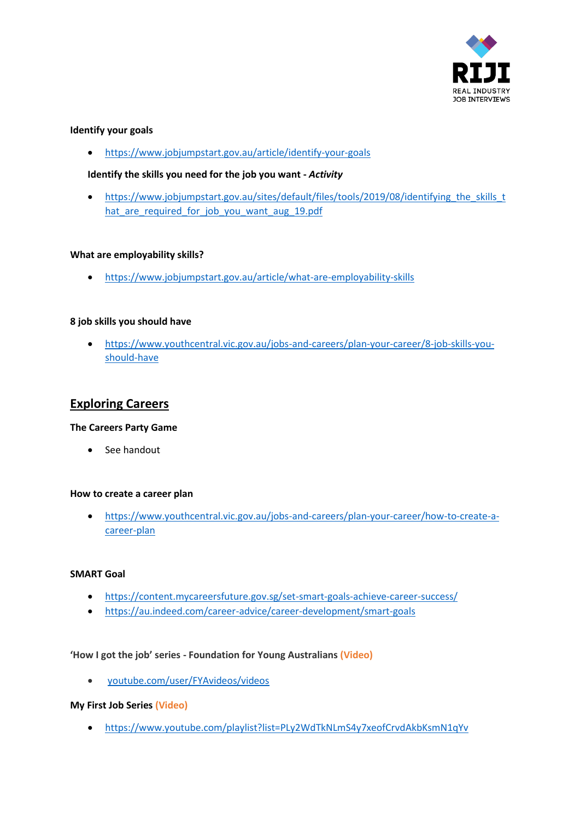

# **Identify your goals**

<https://www.jobjumpstart.gov.au/article/identify-your-goals>

# **Identify the skills you need for the job you want -** *Activity*

 [https://www.jobjumpstart.gov.au/sites/default/files/tools/2019/08/identifying\\_the\\_skills\\_t](https://www.jobjumpstart.gov.au/sites/default/files/tools/2019/08/identifying_the_skills_that_are_required_for_job_you_want_aug_19.pdf) hat are required for job you want aug 19.pdf

# **What are employability skills?**

<https://www.jobjumpstart.gov.au/article/what-are-employability-skills>

# **8 job skills you should have**

 [https://www.youthcentral.vic.gov.au/jobs-and-careers/plan-your-career/8-job-skills-you](https://www.youthcentral.vic.gov.au/jobs-and-careers/plan-your-career/8-job-skills-you-should-have)[should-have](https://www.youthcentral.vic.gov.au/jobs-and-careers/plan-your-career/8-job-skills-you-should-have)

# **Exploring Careers**

### **The Careers Party Game**

• See handout

### **How to create a career plan**

 [https://www.youthcentral.vic.gov.au/jobs-and-careers/plan-your-career/how-to-create-a](https://www.youthcentral.vic.gov.au/jobs-and-careers/plan-your-career/how-to-create-a-career-plan)[career-plan](https://www.youthcentral.vic.gov.au/jobs-and-careers/plan-your-career/how-to-create-a-career-plan)

### **SMART Goal**

- <https://content.mycareersfuture.gov.sg/set-smart-goals-achieve-career-success/>
- <https://au.indeed.com/career-advice/career-development/smart-goals>

### **'How I got the job' series - Foundation for Young Australians (Video)**

[youtube.com/user/FYAvideos/videos](https://youtube.com/user/FYAvideos/videos)

### **My First Job Series (Video)**

<https://www.youtube.com/playlist?list=PLy2WdTkNLmS4y7xeofCrvdAkbKsmN1qYv>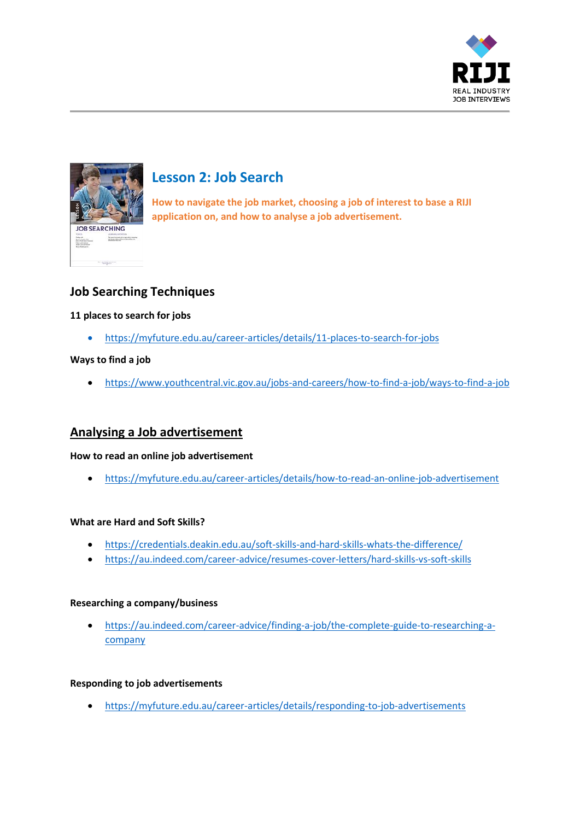



# **Lesson 2: Job Search**

**How to navigate the job market, choosing a job of interest to base a RIJI application on, and how to analyse a job advertisement.**

# **Job Searching Techniques**

# **11 places to search for jobs**

<https://myfuture.edu.au/career-articles/details/11-places-to-search-for-jobs>

# **Ways to find a job**

<https://www.youthcentral.vic.gov.au/jobs-and-careers/how-to-find-a-job/ways-to-find-a-job>

# **Analysing a Job advertisement**

# **How to read an online job advertisement**

<https://myfuture.edu.au/career-articles/details/how-to-read-an-online-job-advertisement>

# **What are Hard and Soft Skills?**

- <https://credentials.deakin.edu.au/soft-skills-and-hard-skills-whats-the-difference/>
- <https://au.indeed.com/career-advice/resumes-cover-letters/hard-skills-vs-soft-skills>

# **Researching a company/business**

 [https://au.indeed.com/career-advice/finding-a-job/the-complete-guide-to-researching-a](https://au.indeed.com/career-advice/finding-a-job/the-complete-guide-to-researching-a-company)[company](https://au.indeed.com/career-advice/finding-a-job/the-complete-guide-to-researching-a-company)

# **Responding to job advertisements**

<https://myfuture.edu.au/career-articles/details/responding-to-job-advertisements>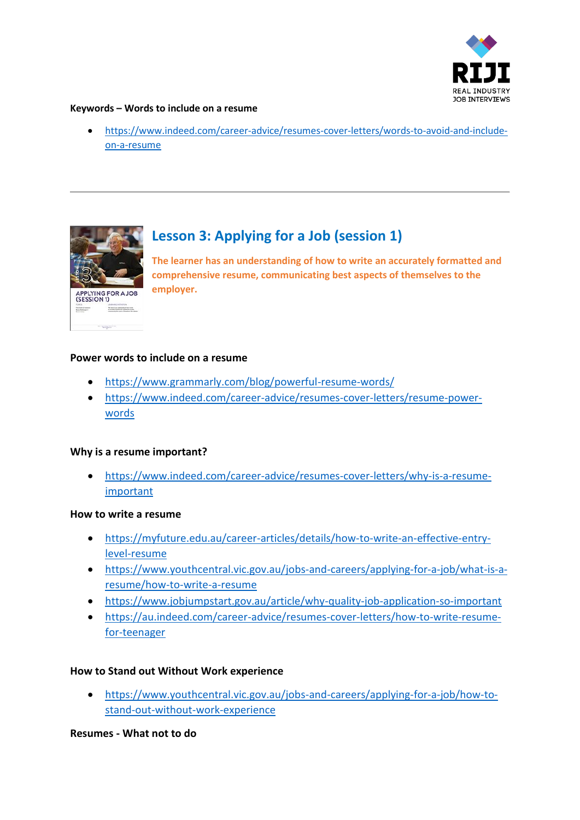

# **Keywords – Words to include on a resume**

 [https://www.indeed.com/career-advice/resumes-cover-letters/words-to-avoid-and-include](https://www.indeed.com/career-advice/resumes-cover-letters/words-to-avoid-and-include-on-a-resume)[on-a-resume](https://www.indeed.com/career-advice/resumes-cover-letters/words-to-avoid-and-include-on-a-resume)



# **Lesson 3: Applying for a Job (session 1)**

**The learner has an understanding of how to write an accurately formatted and comprehensive resume, communicating best aspects of themselves to the employer.**

# **Power words to include on a resume**

- <https://www.grammarly.com/blog/powerful-resume-words/>
- [https://www.indeed.com/career-advice/resumes-cover-letters/resume-power](https://www.indeed.com/career-advice/resumes-cover-letters/resume-power-words)[words](https://www.indeed.com/career-advice/resumes-cover-letters/resume-power-words)

# **Why is a resume important?**

 [https://www.indeed.com/career-advice/resumes-cover-letters/why-is-a-resume](https://www.indeed.com/career-advice/resumes-cover-letters/why-is-a-resume-important)[important](https://www.indeed.com/career-advice/resumes-cover-letters/why-is-a-resume-important)

### **How to write a resume**

- [https://myfuture.edu.au/career-articles/details/how-to-write-an-effective-entry](https://myfuture.edu.au/career-articles/details/how-to-write-an-effective-entry-level-resume)[level-resume](https://myfuture.edu.au/career-articles/details/how-to-write-an-effective-entry-level-resume)
- [https://www.youthcentral.vic.gov.au/jobs-and-careers/applying-for-a-job/what-is-a](https://www.youthcentral.vic.gov.au/jobs-and-careers/applying-for-a-job/what-is-a-resume/how-to-write-a-resume)[resume/how-to-write-a-resume](https://www.youthcentral.vic.gov.au/jobs-and-careers/applying-for-a-job/what-is-a-resume/how-to-write-a-resume)
- <https://www.jobjumpstart.gov.au/article/why-quality-job-application-so-important>
- [https://au.indeed.com/career-advice/resumes-cover-letters/how-to-write-resume](https://au.indeed.com/career-advice/resumes-cover-letters/how-to-write-resume-for-teenager)[for-teenager](https://au.indeed.com/career-advice/resumes-cover-letters/how-to-write-resume-for-teenager)

# **How to Stand out Without Work experience**

 [https://www.youthcentral.vic.gov.au/jobs-and-careers/applying-for-a-job/how-to](https://www.youthcentral.vic.gov.au/jobs-and-careers/applying-for-a-job/how-to-stand-out-without-work-experience)[stand-out-without-work-experience](https://www.youthcentral.vic.gov.au/jobs-and-careers/applying-for-a-job/how-to-stand-out-without-work-experience)

**Resumes - What not to do**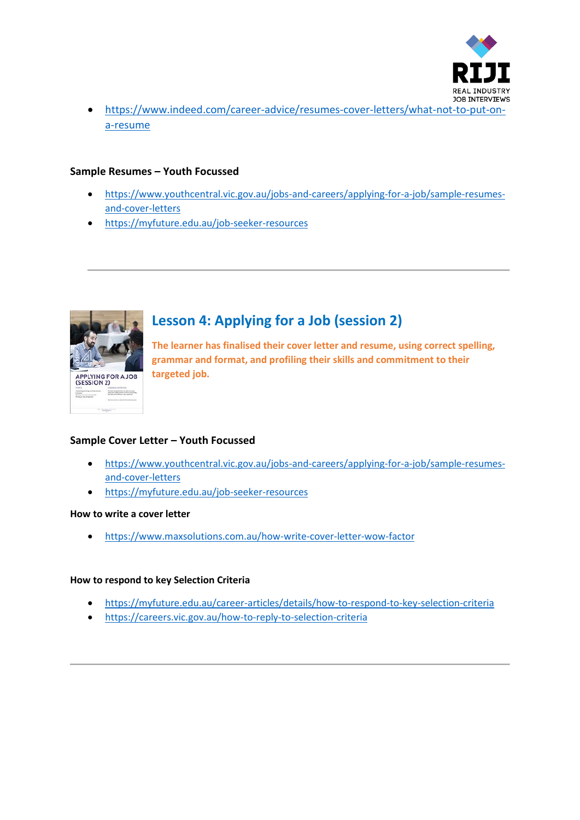

 [https://www.indeed.com/career-advice/resumes-cover-letters/what-not-to-put-on](https://www.indeed.com/career-advice/resumes-cover-letters/what-not-to-put-on-a-resume)[a-resume](https://www.indeed.com/career-advice/resumes-cover-letters/what-not-to-put-on-a-resume)

# **Sample Resumes – Youth Focussed**

- [https://www.youthcentral.vic.gov.au/jobs-and-careers/applying-for-a-job/sample-resumes](https://www.youthcentral.vic.gov.au/jobs-and-careers/applying-for-a-job/sample-resumes-and-cover-letters)[and-cover-letters](https://www.youthcentral.vic.gov.au/jobs-and-careers/applying-for-a-job/sample-resumes-and-cover-letters)
- <https://myfuture.edu.au/job-seeker-resources>



# **Lesson 4: Applying for a Job (session 2)**

**The learner has finalised their cover letter and resume, using correct spelling, grammar and format, and profiling their skills and commitment to their targeted job.**

# **Sample Cover Letter – Youth Focussed**

- [https://www.youthcentral.vic.gov.au/jobs-and-careers/applying-for-a-job/sample-resumes](https://www.youthcentral.vic.gov.au/jobs-and-careers/applying-for-a-job/sample-resumes-and-cover-letters)[and-cover-letters](https://www.youthcentral.vic.gov.au/jobs-and-careers/applying-for-a-job/sample-resumes-and-cover-letters)
- <https://myfuture.edu.au/job-seeker-resources>

### **How to write a cover letter**

<https://www.maxsolutions.com.au/how-write-cover-letter-wow-factor>

# **How to respond to key Selection Criteria**

- <https://myfuture.edu.au/career-articles/details/how-to-respond-to-key-selection-criteria>
- <https://careers.vic.gov.au/how-to-reply-to-selection-criteria>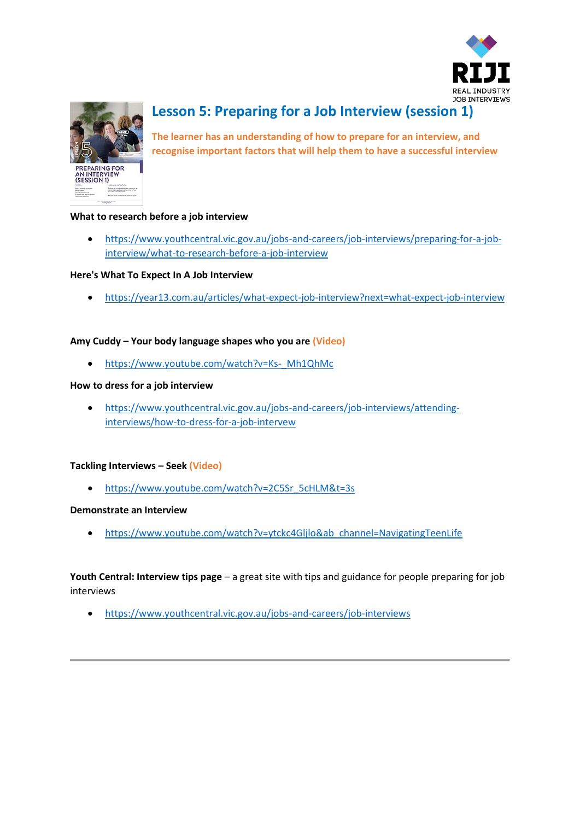



# **Lesson 5: Preparing for a Job Interview (session 1)**

**The learner has an understanding of how to prepare for an interview, and recognise important factors that will help them to have a successful interview**

# **What to research before a job interview**

 [https://www.youthcentral.vic.gov.au/jobs-and-careers/job-interviews/preparing-for-a-job](https://www.youthcentral.vic.gov.au/jobs-and-careers/job-interviews/preparing-for-a-job-interview/what-to-research-before-a-job-interview)[interview/what-to-research-before-a-job-interview](https://www.youthcentral.vic.gov.au/jobs-and-careers/job-interviews/preparing-for-a-job-interview/what-to-research-before-a-job-interview)

### **Here's What To Expect In A Job Interview**

<https://year13.com.au/articles/what-expect-job-interview?next=what-expect-job-interview>

### **Amy Cuddy – Your body language shapes who you are (Video)**

• [https://www.youtube.com/watch?v=Ks-\\_Mh1QhMc](https://www.youtube.com/watch?v=Ks-_Mh1QhMc)

### **How to dress for a job interview**

 [https://www.youthcentral.vic.gov.au/jobs-and-careers/job-interviews/attending](https://www.youthcentral.vic.gov.au/jobs-and-careers/job-interviews/attending-interviews/how-to-dress-for-a-job-intervew)[interviews/how-to-dress-for-a-job-intervew](https://www.youthcentral.vic.gov.au/jobs-and-careers/job-interviews/attending-interviews/how-to-dress-for-a-job-intervew)

### **Tackling Interviews – Seek (Video)**

[https://www.youtube.com/watch?v=2C5Sr\\_5cHLM&t=3s](https://www.youtube.com/watch?v=2C5Sr_5cHLM&t=3s)

### **Demonstrate an Interview**

[https://www.youtube.com/watch?v=ytckc4Gljlo&ab\\_channel=NavigatingTeenLife](https://www.youtube.com/watch?v=ytckc4Gljlo&ab_channel=NavigatingTeenLife)

**Youth Central: Interview tips page** – a great site with tips and guidance for people preparing for job interviews

<https://www.youthcentral.vic.gov.au/jobs-and-careers/job-interviews>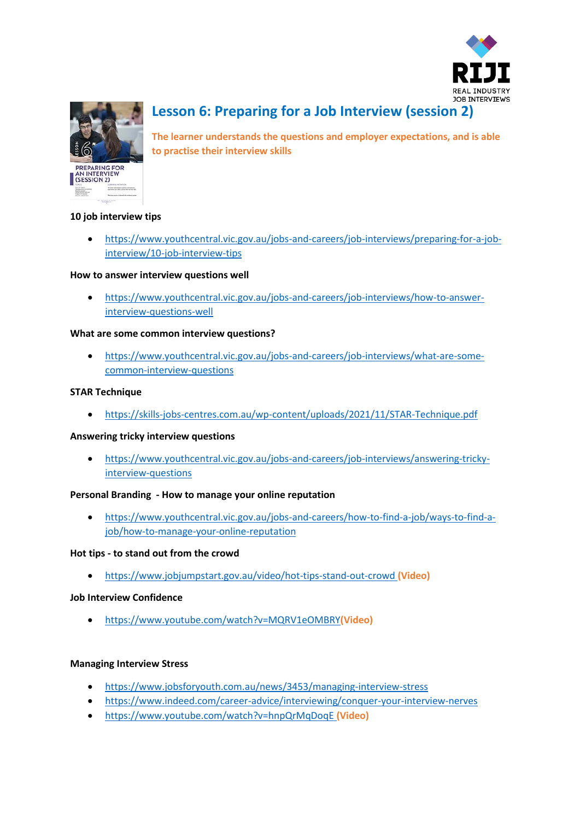



# **Lesson 6: Preparing for a Job Interview (session 2)**

**The learner understands the questions and employer expectations, and is able to practise their interview skills**

# **10 job interview tips**

 [https://www.youthcentral.vic.gov.au/jobs-and-careers/job-interviews/preparing-for-a-job](https://www.youthcentral.vic.gov.au/jobs-and-careers/job-interviews/preparing-for-a-job-interview/10-job-interview-tips)[interview/10-job-interview-tips](https://www.youthcentral.vic.gov.au/jobs-and-careers/job-interviews/preparing-for-a-job-interview/10-job-interview-tips)

# **How to answer interview questions well**

 [https://www.youthcentral.vic.gov.au/jobs-and-careers/job-interviews/how-to-answer](https://www.youthcentral.vic.gov.au/jobs-and-careers/job-interviews/how-to-answer-interview-questions-well)[interview-questions-well](https://www.youthcentral.vic.gov.au/jobs-and-careers/job-interviews/how-to-answer-interview-questions-well)

# **What are some common interview questions?**

 [https://www.youthcentral.vic.gov.au/jobs-and-careers/job-interviews/what-are-some](https://www.youthcentral.vic.gov.au/jobs-and-careers/job-interviews/what-are-some-common-interview-questions)[common-interview-questions](https://www.youthcentral.vic.gov.au/jobs-and-careers/job-interviews/what-are-some-common-interview-questions)

# **STAR Technique**

<https://skills-jobs-centres.com.au/wp-content/uploads/2021/11/STAR-Technique.pdf>

### **Answering tricky interview questions**

 [https://www.youthcentral.vic.gov.au/jobs-and-careers/job-interviews/answering-tricky](https://www.youthcentral.vic.gov.au/jobs-and-careers/job-interviews/answering-tricky-interview-questions)[interview-questions](https://www.youthcentral.vic.gov.au/jobs-and-careers/job-interviews/answering-tricky-interview-questions)

### **Personal Branding - How to manage your online reputation**

 [https://www.youthcentral.vic.gov.au/jobs-and-careers/how-to-find-a-job/ways-to-find-a](https://www.youthcentral.vic.gov.au/jobs-and-careers/how-to-find-a-job/ways-to-find-a-job/how-to-manage-your-online-reputation)[job/how-to-manage-your-online-reputation](https://www.youthcentral.vic.gov.au/jobs-and-careers/how-to-find-a-job/ways-to-find-a-job/how-to-manage-your-online-reputation)

### **Hot tips - to stand out from the crowd**

<https://www.jobjumpstart.gov.au/video/hot-tips-stand-out-crowd> **(Video)**

### **Job Interview Confidence**

<https://www.youtube.com/watch?v=MQRV1eOMBRY>**(Video)**

### **Managing Interview Stress**

- <https://www.jobsforyouth.com.au/news/3453/managing-interview-stress>
- <https://www.indeed.com/career-advice/interviewing/conquer-your-interview-nerves>
- <https://www.youtube.com/watch?v=hnpQrMqDoqE> **(Video)**